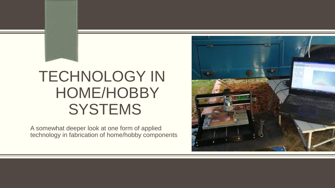# TECHNOLOGY IN HOME/HOBBY **SYSTEMS**

A somewhat deeper look at one form of applied technology in fabrication of home/hobby components

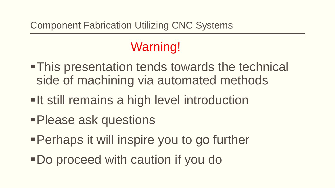# Warning!

- This presentation tends towards the technical side of machining via automated methods
- **-It still remains a high level introduction**
- Please ask questions
- Perhaps it will inspire you to go further
- Do proceed with caution if you do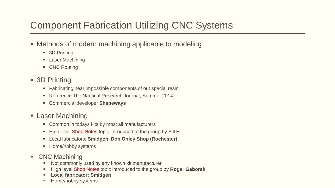### Component Fabrication Utilizing CNC Systems

- **Methods of modern machining applicable to modeling** 
	- 3D Printing
	- **E** Laser Machining
	- **CNC Routing**
- 3D Printing
	- Fabricating near impossible components of out special resin
	- **Reference The Nautical Research Journal, Summer 2014**
	- Commercial developer **Shapeways**
- **Laser Machining** 
	- Common in todays kits by most all manufacturers
	- High level Shop Notes topic introduced to the group by Bill E
	- Local fabricators; **Smidgen**, **Don Onley Shop (Rochester)**
	- **Home/hobby systems**
- CNC Machining
	- Not commonly used by any known kit manufacturer
	- High level Shop Notes topic introduced to the group by **Roger Gaborski**
	- **Local fabricator; Smidgen**
	- Home/hobby systems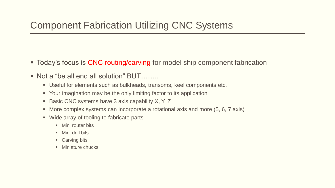- **Today's focus is CNC routing/carving for model ship component fabrication**
- Not a "be all end all solution" BUT……..
	- Useful for elements such as bulkheads, transoms, keel components etc.
	- Your imagination may be the only limiting factor to its application
	- Basic CNC systems have 3 axis capability X, Y, Z
	- More complex systems can incorporate a rotational axis and more (5, 6, 7 axis)
	- Wide array of tooling to fabricate parts
		- **Mini router bits**
		- **Nini drill bits**
		- Carving bits
		- **Miniature chucks**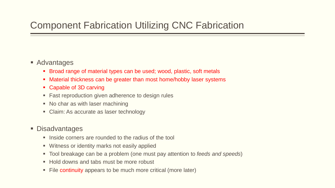#### Component Fabrication Utilizing CNC Fabrication

- Advantages
	- Broad range of material types can be used; wood, plastic, soft metals
	- Material thickness can be greater than most home/hobby laser systems
	- Capable of 3D carving
	- Fast reproduction given adherence to design rules
	- No char as with laser machining
	- Claim: As accurate as laser technology

#### **Disadvantages**

- Inside corners are rounded to the radius of the tool
- Witness or identity marks not easily applied
- Tool breakage can be a problem (one must pay attention to *feeds and speeds*)
- Hold downs and tabs must be more robust
- File continuity appears to be much more critical (more later)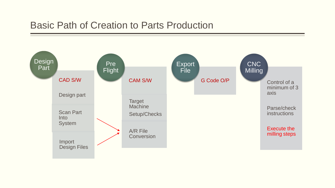#### Basic Path of Creation to Parts Production

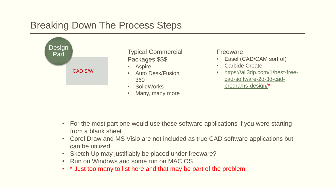#### Breaking Down The Process Steps



- For the most part one would use these software applications if you were starting from a blank sheet
- Corel Draw and MS Visio are not included as true CAD software applications but can be utilized
- Sketch Up may justifiably be placed under freeware?
- Run on Windows and some run on MAC OS
- \* Just too many to list here and that may be part of the problem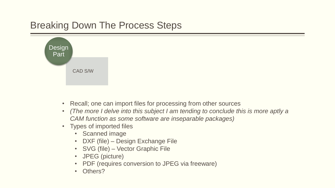#### Breaking Down The Process Steps



- Recall; one can import files for processing from other sources
- *(The more I delve into this subject I am tending to conclude this is more aptly a CAM function as some software are inseparable packages)*
- Types of imported files
	- Scanned image
	- DXF (file) Design Exchange File
	- SVG (file) Vector Graphic File
	- JPEG (picture)
	- PDF (requires conversion to JPEG via freeware)
	- Others?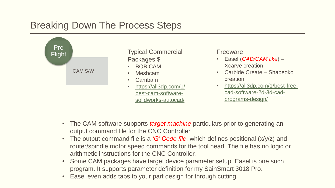#### Breaking Down The Process Steps



- The CAM software supports *target machine* particulars prior to generating an output command file for the CNC Controller
- The output command file is a *'G' Code file*, which defines positional (x/y/z) and router/spindle motor speed commands for the tool head. The file has no logic or arithmetic instructions for the CNC Controller.
- Some CAM packages have target device parameter setup. Easel is one such program. It supports parameter definition for my SainSmart 3018 Pro.
- Easel even adds tabs to your part design for through cutting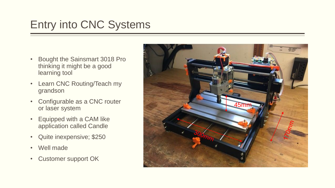# Entry into CNC Systems

- Bought the Sainsmart 3018 Pro thinking it might be a good learning tool
- Learn CNC Routing/Teach my grandson
- Configurable as a CNC router or laser system
- Equipped with a CAM like application called Candle
- Quite inexpensive; \$250
- Well made
- Customer support OK

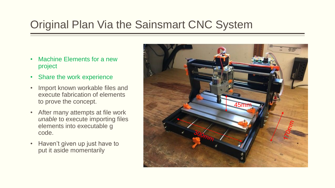# Original Plan Via the Sainsmart CNC System

- Machine Elements for a new project
- Share the work experience
- Import known workable files and execute fabrication of elements to prove the concept.
- After many attempts at file work *unable* to execute importing files elements into executable g code.
- Haven't given up just have to put it aside momentarily

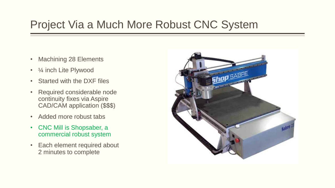# Project Via a Much More Robust CNC System

- Machining 28 Elements
- $\frac{1}{4}$  inch Lite Plywood
- Started with the DXF files
- Required considerable node continuity fixes via Aspire CAD/CAM application (\$\$\$)
- Added more robust tabs
- CNC Mill is Shopsaber, a commercial robust system
- Each element required about 2 minutes to complete

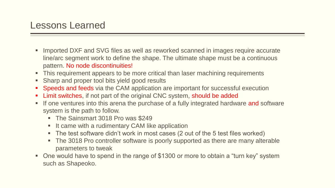- Imported DXF and SVG files as well as reworked scanned in images require accurate line/arc segment work to define the shape. The ultimate shape must be a continuous pattern. No node discontinuities!
- This requirement appears to be more critical than laser machining requirements
- Sharp and proper tool bits yield good results
- Speeds and feeds via the CAM application are important for successful execution
- Limit switches, if not part of the original CNC system, should be added
- If one ventures into this arena the purchase of a fully integrated hardware and software system is the path to follow.
	- **The Sainsmart 3018 Pro was \$249**
	- **If came with a rudimentary CAM like application**
	- The test software didn't work in most cases (2 out of the 5 test files worked)
	- The 3018 Pro controller software is poorly supported as there are many alterable parameters to tweak
- One would have to spend in the range of \$1300 or more to obtain a "turn key" system such as Shapeoko.